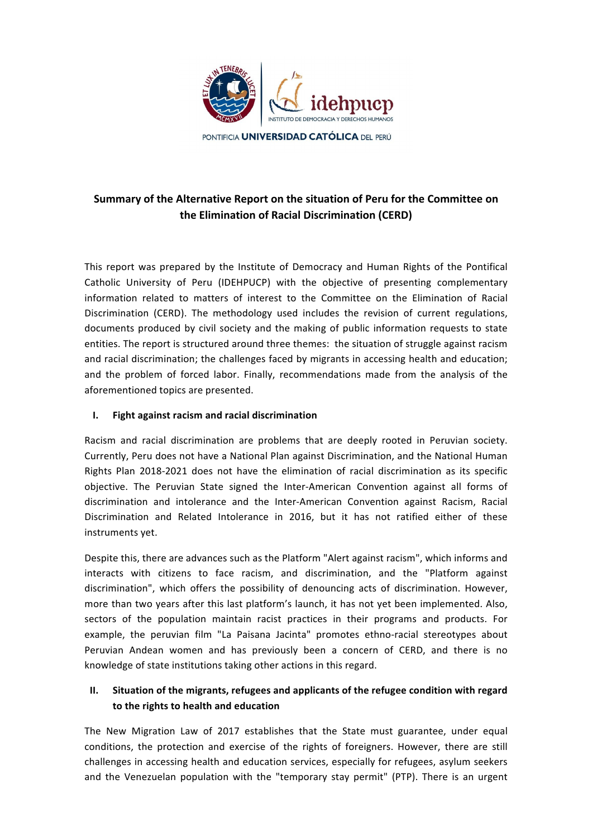

# **Summary of the Alternative Report on the situation of Peru for the Committee on the Elimination of Racial Discrimination (CERD)**

This report was prepared by the Institute of Democracy and Human Rights of the Pontifical Catholic University of Peru (IDEHPUCP) with the objective of presenting complementary information related to matters of interest to the Committee on the Elimination of Racial Discrimination (CERD). The methodology used includes the revision of current regulations, documents produced by civil society and the making of public information requests to state entities. The report is structured around three themes: the situation of struggle against racism and racial discrimination; the challenges faced by migrants in accessing health and education; and the problem of forced labor. Finally, recommendations made from the analysis of the aforementioned topics are presented.

#### **I. Fight against racism and racial discrimination**

Racism and racial discrimination are problems that are deeply rooted in Peruvian society. Currently, Peru does not have a National Plan against Discrimination, and the National Human Rights Plan 2018-2021 does not have the elimination of racial discrimination as its specific objective. The Peruvian State signed the Inter-American Convention against all forms of discrimination and intolerance and the Inter-American Convention against Racism, Racial Discrimination and Related Intolerance in 2016, but it has not ratified either of these instruments yet.

Despite this, there are advances such as the Platform "Alert against racism", which informs and interacts with citizens to face racism, and discrimination, and the "Platform against discrimination", which offers the possibility of denouncing acts of discrimination. However, more than two years after this last platform's launch, it has not yet been implemented. Also, sectors of the population maintain racist practices in their programs and products. For example, the peruvian film "La Paisana Jacinta" promotes ethno-racial stereotypes about Peruvian Andean women and has previously been a concern of CERD, and there is no knowledge of state institutions taking other actions in this regard.

## **II.** Situation of the migrants, refugees and applicants of the refugee condition with regard to the rights to health and education

The New Migration Law of 2017 establishes that the State must guarantee, under equal conditions, the protection and exercise of the rights of foreigners. However, there are still challenges in accessing health and education services, especially for refugees, asylum seekers and the Venezuelan population with the "temporary stay permit" (PTP). There is an urgent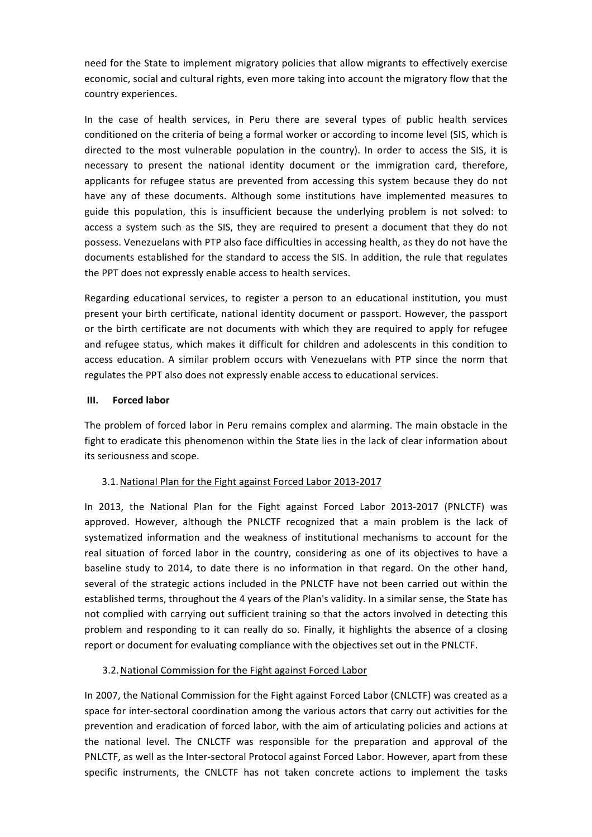need for the State to implement migratory policies that allow migrants to effectively exercise economic, social and cultural rights, even more taking into account the migratory flow that the country experiences.

In the case of health services, in Peru there are several types of public health services conditioned on the criteria of being a formal worker or according to income level (SIS, which is directed to the most vulnerable population in the country). In order to access the SIS, it is necessary to present the national identity document or the immigration card, therefore, applicants for refugee status are prevented from accessing this system because they do not have any of these documents. Although some institutions have implemented measures to guide this population, this is insufficient because the underlying problem is not solved: to access a system such as the SIS, they are required to present a document that they do not possess. Venezuelans with PTP also face difficulties in accessing health, as they do not have the documents established for the standard to access the SIS. In addition, the rule that regulates the PPT does not expressly enable access to health services.

Regarding educational services, to register a person to an educational institution, you must present your birth certificate, national identity document or passport. However, the passport or the birth certificate are not documents with which they are required to apply for refugee and refugee status, which makes it difficult for children and adolescents in this condition to access education. A similar problem occurs with Venezuelans with PTP since the norm that regulates the PPT also does not expressly enable access to educational services.

#### **III. Forced labor**

The problem of forced labor in Peru remains complex and alarming. The main obstacle in the fight to eradicate this phenomenon within the State lies in the lack of clear information about its seriousness and scope.

#### 3.1. National Plan for the Fight against Forced Labor 2013-2017

In 2013, the National Plan for the Fight against Forced Labor 2013-2017 (PNLCTF) was approved. However, although the PNLCTF recognized that a main problem is the lack of systematized information and the weakness of institutional mechanisms to account for the real situation of forced labor in the country, considering as one of its objectives to have a baseline study to 2014, to date there is no information in that regard. On the other hand, several of the strategic actions included in the PNLCTF have not been carried out within the established terms, throughout the 4 years of the Plan's validity. In a similar sense, the State has not complied with carrying out sufficient training so that the actors involved in detecting this problem and responding to it can really do so. Finally, it highlights the absence of a closing report or document for evaluating compliance with the objectives set out in the PNLCTF.

#### 3.2. National Commission for the Fight against Forced Labor

In 2007, the National Commission for the Fight against Forced Labor (CNLCTF) was created as a space for inter-sectoral coordination among the various actors that carry out activities for the prevention and eradication of forced labor, with the aim of articulating policies and actions at the national level. The CNLCTF was responsible for the preparation and approval of the PNLCTF, as well as the Inter-sectoral Protocol against Forced Labor. However, apart from these specific instruments, the CNLCTF has not taken concrete actions to implement the tasks